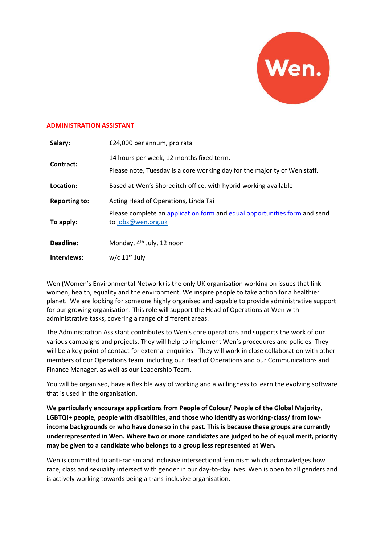

#### **ADMINISTRATION ASSISTANT**

| Salary:              | £24,000 per annum, pro rata                                                                                           |
|----------------------|-----------------------------------------------------------------------------------------------------------------------|
| Contract:            | 14 hours per week, 12 months fixed term.<br>Please note, Tuesday is a core working day for the majority of Wen staff. |
| Location:            | Based at Wen's Shoreditch office, with hybrid working available                                                       |
| <b>Reporting to:</b> | Acting Head of Operations, Linda Tai                                                                                  |
| To apply:            | Please complete an application form and equal opportunities form and send<br>to jobs@wen.org.uk                       |
| Deadline:            | Monday, 4 <sup>th</sup> July, 12 noon                                                                                 |
| Interviews:          | $w/c$ 11 <sup>th</sup> July                                                                                           |

Wen (Women's Environmental Network) is the only UK organisation working on issues that link women, health, equality and the environment. We inspire people to take action for a healthier planet. We are looking for someone highly organised and capable to provide administrative support for our growing organisation. This role will support the Head of Operations at Wen with administrative tasks, covering a range of different areas.

The Administration Assistant contributes to Wen's core operations and supports the work of our various campaigns and projects. They will help to implement Wen's procedures and policies. They will be a key point of contact for external enquiries. They will work in close collaboration with other members of our Operations team, including our Head of Operations and our Communications and Finance Manager, as well as our Leadership Team.

You will be organised, have a flexible way of working and a willingness to learn the evolving software that is used in the organisation.

**We particularly encourage applications from People of Colour/ People of the Global Majority,**  LGBTQI+ people, people with disabilities, and those who identify as working-class/ from low**income backgrounds or who have done so in the past. This is because these groups are currently underrepresented in Wen. Where two or more candidates are judged to be of equal merit, priority may be given to a candidate who belongs to a group less represented at Wen.**

Wen is committed to anti-racism and inclusive intersectional feminism which acknowledges how race, class and sexuality intersect with gender in our day-to-day lives. Wen is open to all genders and is actively working towards being a trans-inclusive organisation.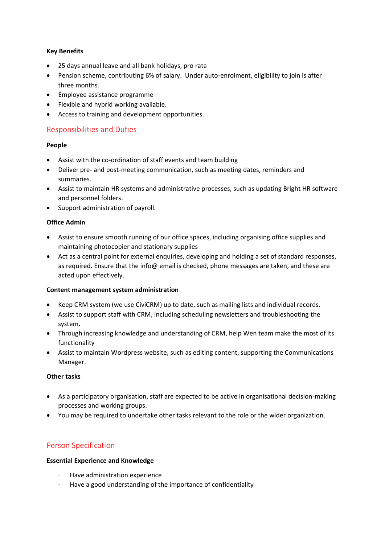## **Key Benefits**

- 25 days annual leave and all bank holidays, pro rata
- Pension scheme, contributing 6% of salary. Under auto-enrolment, eligibility to join is after three months.
- Employee assistance programme
- Flexible and hybrid working available.
- Access to training and development opportunities.

# Responsibilities and Duties

#### **People**

- Assist with the co-ordination of staff events and team building
- Deliver pre- and post-meeting communication, such as meeting dates, reminders and summaries.
- Assist to maintain HR systems and administrative processes, such as updating Bright HR software and personnel folders.
- Support administration of payroll.

## **Office Admin**

- Assist to ensure smooth running of our office spaces, including organising office supplies and maintaining photocopier and stationary supplies
- Act as a central point for external enquiries, developing and holding a set of standard responses, as required. Ensure that the info@ email is checked, phone messages are taken, and these are acted upon effectively.

#### **Content management system administration**

- Keep CRM system (we use CiviCRM) up to date, such as mailing lists and individual records.
- Assist to support staff with CRM, including scheduling newsletters and troubleshooting the system.
- Through increasing knowledge and understanding of CRM, help Wen team make the most of its functionality
- Assist to maintain Wordpress website, such as editing content, supporting the Communications Manager.

#### **Other tasks**

- As a participatory organisation, staff are expected to be active in organisational decision-making processes and working groups.
- You may be required to undertake other tasks relevant to the role or the wider organization.

## Person Specification

#### **Essential Experience and Knowledge**

- Have administration experience
- · Have a good understanding of the importance of confidentiality